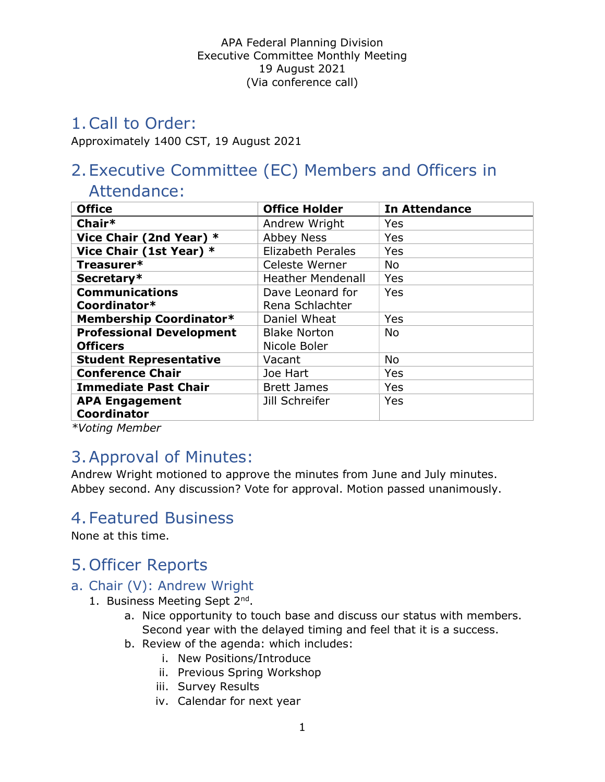# 1.Call to Order:

Approximately 1400 CST, 19 August 2021

# 2.Executive Committee (EC) Members and Officers in

# Attendance:

| <b>Office</b>                   | <b>Office Holder</b>     | <b>In Attendance</b> |
|---------------------------------|--------------------------|----------------------|
| Chair*                          | Andrew Wright            | Yes                  |
| Vice Chair (2nd Year) *         | <b>Abbey Ness</b>        | Yes                  |
| Vice Chair (1st Year) *         | <b>Elizabeth Perales</b> | Yes                  |
| Treasurer*                      | Celeste Werner           | <b>No</b>            |
| Secretary*                      | <b>Heather Mendenall</b> | Yes                  |
| <b>Communications</b>           | Dave Leonard for         | Yes                  |
| Coordinator*                    | Rena Schlachter          |                      |
| Membership Coordinator*         | Daniel Wheat             | Yes                  |
| <b>Professional Development</b> | <b>Blake Norton</b>      | <b>No</b>            |
| <b>Officers</b>                 | Nicole Boler             |                      |
| <b>Student Representative</b>   | Vacant                   | <b>No</b>            |
| <b>Conference Chair</b>         | Joe Hart                 | Yes                  |
| <b>Immediate Past Chair</b>     | <b>Brett James</b>       | Yes                  |
| <b>APA Engagement</b>           | Jill Schreifer           | Yes                  |
| <b>Coordinator</b>              |                          |                      |

\*Voting Member

# 3.Approval of Minutes:

Andrew Wright motioned to approve the minutes from June and July minutes. Abbey second. Any discussion? Vote for approval. Motion passed unanimously.

# 4.Featured Business

None at this time.

# 5.Officer Reports

### a. Chair (V): Andrew Wright

- 1. Business Meeting Sept 2<sup>nd</sup>.
	- a. Nice opportunity to touch base and discuss our status with members. Second year with the delayed timing and feel that it is a success.
	- b. Review of the agenda: which includes:
		- i. New Positions/Introduce
		- ii. Previous Spring Workshop
		- iii. Survey Results
		- iv. Calendar for next year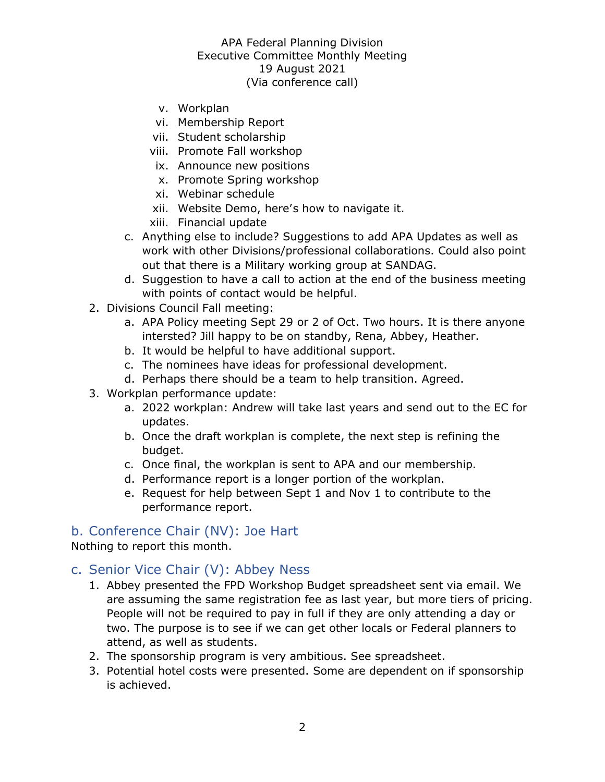- v. Workplan
- vi. Membership Report
- vii. Student scholarship
- viii. Promote Fall workshop
- ix. Announce new positions
- x. Promote Spring workshop
- xi. Webinar schedule
- xii. Website Demo, here's how to navigate it.
- xiii. Financial update
- c. Anything else to include? Suggestions to add APA Updates as well as work with other Divisions/professional collaborations. Could also point out that there is a Military working group at SANDAG.
- d. Suggestion to have a call to action at the end of the business meeting with points of contact would be helpful.
- 2. Divisions Council Fall meeting:
	- a. APA Policy meeting Sept 29 or 2 of Oct. Two hours. It is there anyone intersted? Jill happy to be on standby, Rena, Abbey, Heather.
	- b. It would be helpful to have additional support.
	- c. The nominees have ideas for professional development.
	- d. Perhaps there should be a team to help transition. Agreed.
- 3. Workplan performance update:
	- a. 2022 workplan: Andrew will take last years and send out to the EC for updates.
	- b. Once the draft workplan is complete, the next step is refining the budget.
	- c. Once final, the workplan is sent to APA and our membership.
	- d. Performance report is a longer portion of the workplan.
	- e. Request for help between Sept 1 and Nov 1 to contribute to the performance report.

#### b. Conference Chair (NV): Joe Hart

Nothing to report this month.

#### c. Senior Vice Chair (V): Abbey Ness

- 1. Abbey presented the FPD Workshop Budget spreadsheet sent via email. We are assuming the same registration fee as last year, but more tiers of pricing. People will not be required to pay in full if they are only attending a day or two. The purpose is to see if we can get other locals or Federal planners to attend, as well as students.
- 2. The sponsorship program is very ambitious. See spreadsheet.
- 3. Potential hotel costs were presented. Some are dependent on if sponsorship is achieved.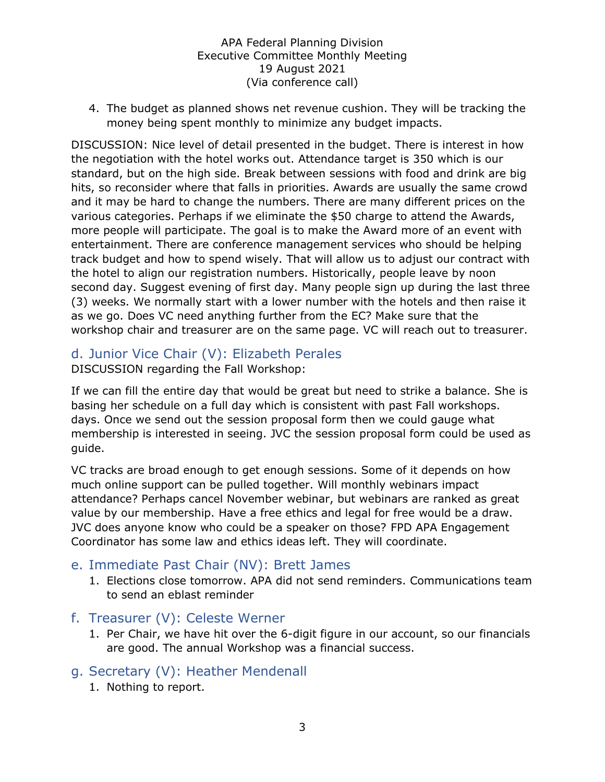4. The budget as planned shows net revenue cushion. They will be tracking the money being spent monthly to minimize any budget impacts.

DISCUSSION: Nice level of detail presented in the budget. There is interest in how the negotiation with the hotel works out. Attendance target is 350 which is our standard, but on the high side. Break between sessions with food and drink are big hits, so reconsider where that falls in priorities. Awards are usually the same crowd and it may be hard to change the numbers. There are many different prices on the various categories. Perhaps if we eliminate the \$50 charge to attend the Awards, more people will participate. The goal is to make the Award more of an event with entertainment. There are conference management services who should be helping track budget and how to spend wisely. That will allow us to adjust our contract with the hotel to align our registration numbers. Historically, people leave by noon second day. Suggest evening of first day. Many people sign up during the last three (3) weeks. We normally start with a lower number with the hotels and then raise it as we go. Does VC need anything further from the EC? Make sure that the workshop chair and treasurer are on the same page. VC will reach out to treasurer.

### d. Junior Vice Chair (V): Elizabeth Perales

DISCUSSION regarding the Fall Workshop:

If we can fill the entire day that would be great but need to strike a balance. She is basing her schedule on a full day which is consistent with past Fall workshops. days. Once we send out the session proposal form then we could gauge what membership is interested in seeing. JVC the session proposal form could be used as guide.

VC tracks are broad enough to get enough sessions. Some of it depends on how much online support can be pulled together. Will monthly webinars impact attendance? Perhaps cancel November webinar, but webinars are ranked as great value by our membership. Have a free ethics and legal for free would be a draw. JVC does anyone know who could be a speaker on those? FPD APA Engagement Coordinator has some law and ethics ideas left. They will coordinate.

### e. Immediate Past Chair (NV): Brett James

1. Elections close tomorrow. APA did not send reminders. Communications team to send an eblast reminder

#### f. Treasurer (V): Celeste Werner

1. Per Chair, we have hit over the 6-digit figure in our account, so our financials are good. The annual Workshop was a financial success.

### g. Secretary (V): Heather Mendenall

1. Nothing to report.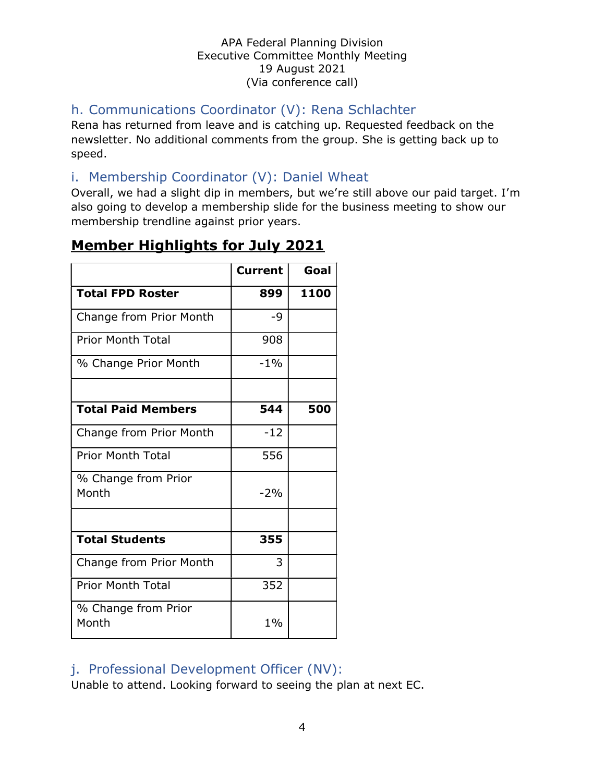## h. Communications Coordinator (V): Rena Schlachter

Rena has returned from leave and is catching up. Requested feedback on the newsletter. No additional comments from the group. She is getting back up to speed.

### i. Membership Coordinator (V): Daniel Wheat

Overall, we had a slight dip in members, but we're still above our paid target. I'm also going to develop a membership slide for the business meeting to show our membership trendline against prior years.

## Member Highlights for July 2021

|                              | <b>Current</b> | Goal |
|------------------------------|----------------|------|
| <b>Total FPD Roster</b>      | 899            | 1100 |
| Change from Prior Month      | -9             |      |
| <b>Prior Month Total</b>     | 908            |      |
| % Change Prior Month         | $-1\%$         |      |
|                              |                |      |
| <b>Total Paid Members</b>    | 544            | 500  |
| Change from Prior Month      | $-12$          |      |
| <b>Prior Month Total</b>     | 556            |      |
| % Change from Prior<br>Month | $-2%$          |      |
|                              |                |      |
| <b>Total Students</b>        | 355            |      |
| Change from Prior Month      | 3              |      |
| <b>Prior Month Total</b>     | 352            |      |
| % Change from Prior<br>Month | $1\%$          |      |

### j. Professional Development Officer (NV):

Unable to attend. Looking forward to seeing the plan at next EC.